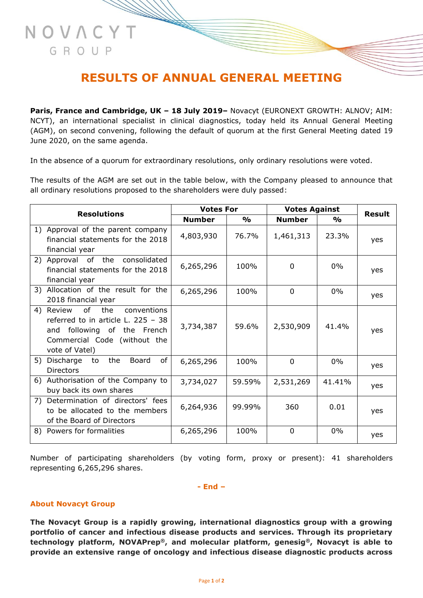# **RESULTS OF ANNUAL GENERAL MEETING**

**Paris, France and Cambridge, UK – 18 July 2019–** Novacyt (EURONEXT GROWTH: ALNOV; AIM: NCYT), an international specialist in clinical diagnostics, today held its Annual General Meeting (AGM), on second convening, following the default of quorum at the first General Meeting dated 19 June 2020, on the same agenda.

In the absence of a quorum for extraordinary resolutions, only ordinary resolutions were voted.

The results of the AGM are set out in the table below, with the Company pleased to announce that all ordinary resolutions proposed to the shareholders were duly passed:

| <b>Resolutions</b> |                                                                                                                                                                | <b>Votes For</b> |               | <b>Votes Against</b> |                    |               |
|--------------------|----------------------------------------------------------------------------------------------------------------------------------------------------------------|------------------|---------------|----------------------|--------------------|---------------|
|                    |                                                                                                                                                                | <b>Number</b>    | $\frac{0}{0}$ | <b>Number</b>        | $\frac{1}{\alpha}$ | <b>Result</b> |
|                    | 1) Approval of the parent company<br>financial statements for the 2018<br>financial year                                                                       | 4,803,930        | 76.7%         | 1,461,313            | 23.3%              | yes           |
|                    | 2) Approval of the<br>consolidated<br>financial statements for the 2018<br>financial year                                                                      | 6,265,296        | 100%          | 0                    | $0\%$              | yes           |
|                    | 3) Allocation of the result for the<br>2018 financial year                                                                                                     | 6,265,296        | 100%          | $\Omega$             | $0\%$              | yes           |
|                    | of<br>the<br>4) Review<br>conventions<br>referred to in article L. $225 - 38$<br>and following of the French<br>Commercial Code (without the<br>vote of Vatel) | 3,734,387        | 59.6%         | 2,530,909            | 41.4%              | yes           |
| 5)                 | of<br>Discharge<br>the<br>Board<br>to<br>Directors                                                                                                             | 6,265,296        | 100%          | $\mathbf 0$          | $0\%$              | yes           |
|                    | 6) Authorisation of the Company to<br>buy back its own shares                                                                                                  | 3,734,027        | 59.59%        | 2,531,269            | 41.41%             | yes           |
| 7)                 | Determination of directors' fees<br>to be allocated to the members<br>of the Board of Directors                                                                | 6,264,936        | 99.99%        | 360                  | 0.01               | yes           |
|                    | 8) Powers for formalities                                                                                                                                      | 6,265,296        | 100%          | $\mathbf 0$          | $0\%$              | yes           |

Number of participating shareholders (by voting form, proxy or present): 41 shareholders representing 6,265,296 shares.

#### **- End –**

#### **About Novacyt Group**

NOVACYT

GROUP

**The Novacyt Group is a rapidly growing, international diagnostics group with a growing portfolio of cancer and infectious disease products and services. Through its proprietary technology platform, NOVAPrep®, and molecular platform, genesig®, Novacyt is able to provide an extensive range of oncology and infectious disease diagnostic products across**